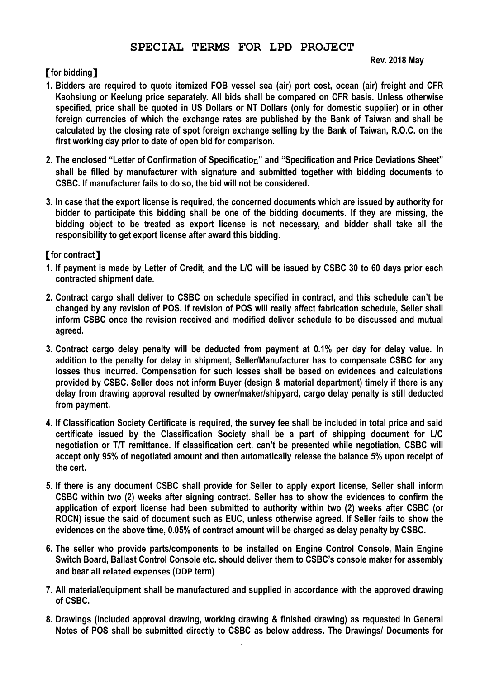## **SPECIAL TERMS FOR LPD PROJECT**

## **Rev. 2018 May**

## 【**for bidding**】

- **1. Bidders are required to quote itemized FOB vessel sea (air) port cost, ocean (air) freight and CFR Kaohsiung or Keelung price separately. All bids shall be compared on CFR basis. Unless otherwise specified, price shall be quoted in US Dollars or NT Dollars (only for domestic supplier) or in other foreign currencies of which the exchange rates are published by the Bank of Taiwan and shall be calculated by the closing rate of spot foreign exchange selling by the Bank of Taiwan, R.O.C. on the first working day prior to date of open bid for comparison.**
- **2. The enclosed "Letter of Confirmation of Specificatio**n**" and "Specification and Price Deviations Sheet" shall be filled by manufacturer with signature and submitted together with bidding documents to CSBC. If manufacturer fails to do so, the bid will not be considered.**
- **3. In case that the export license is required, the concerned documents which are issued by authority for bidder to participate this bidding shall be one of the bidding documents. If they are missing, the bidding object to be treated as export license is not necessary, and bidder shall take all the responsibility to get export license after award this bidding.**

## 【**for contract**】

- **1. If payment is made by Letter of Credit, and the L/C will be issued by CSBC 30 to 60 days prior each contracted shipment date.**
- **2. Contract cargo shall deliver to CSBC on schedule specified in contract, and this schedule can't be changed by any revision of POS. If revision of POS will really affect fabrication schedule, Seller shall inform CSBC once the revision received and modified deliver schedule to be discussed and mutual agreed.**
- **3. Contract cargo delay penalty will be deducted from payment at 0.1% per day for delay value. In addition to the penalty for delay in shipment, Seller/Manufacturer has to compensate CSBC for any losses thus incurred. Compensation for such losses shall be based on evidences and calculations provided by CSBC. Seller does not inform Buyer (design & material department) timely if there is any delay from drawing approval resulted by owner/maker/shipyard, cargo delay penalty is still deducted from payment.**
- **4. If Classification Society Certificate is required, the survey fee shall be included in total price and said certificate issued by the Classification Society shall be a part of shipping document for L/C negotiation or T/T remittance. If classification cert. can't be presented while negotiation, CSBC will accept only 95% of negotiated amount and then automatically release the balance 5% upon receipt of the cert.**
- **5. If there is any document CSBC shall provide for Seller to apply export license, Seller shall inform CSBC within two (2) weeks after signing contract. Seller has to show the evidences to confirm the application of export license had been submitted to authority within two (2) weeks after CSBC (or ROCN) issue the said of document such as EUC, unless otherwise agreed. If Seller fails to show the evidences on the above time, 0.05% of contract amount will be charged as delay penalty by CSBC.**
- **6. The seller who provide parts/components to be installed on Engine Control Console, Main Engine Switch Board, Ballast Control Console etc. should deliver them to CSBC's console maker for assembly and bear all related expenses (DDP term)**
- **7. All material/equipment shall be manufactured and supplied in accordance with the approved drawing of CSBC.**
- **8. Drawings (included approval drawing, working drawing & finished drawing) as requested in General Notes of POS shall be submitted directly to CSBC as below address. The Drawings/ Documents for**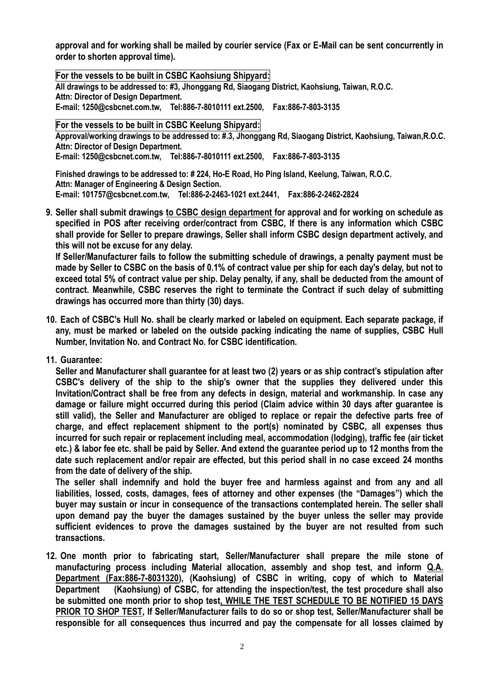**approval and for working shall be mailed by courier service (Fax or E-Mail can be sent concurrently in order to shorten approval time).**

**For the vessels to be built in CSBC Kaohsiung Shipyard: All drawings to be addressed to: #3, Jhonggang Rd, Siaogang District, Kaohsiung, Taiwan, R.O.C. Attn: Director of Design Department. E-mail: 1250@csbcnet.com.tw, Tel:886-7-8010111 ext.2500, Fax:886-7-803-3135**

**For the vessels to be built in CSBC Keelung Shipyard:**

**Approval/working drawings to be addressed to: #.3, Jhonggang Rd, Siaogang District, Kaohsiung, Taiwan,R.O.C. Attn: Director of Design Department.**

**E-mail: 1250@csbcnet.com.tw, Tel:886-7-8010111 ext.2500, Fax:886-7-803-3135**

**Finished drawings to be addressed to: # 224, Ho-E Road, Ho Ping Island, Keelung, Taiwan, R.O.C. Attn: Manager of Engineering & Design Section. E-mail: 101757@csbcnet.com.tw, Tel:886-2-2463-1021 ext.2441, Fax:886-2-2462-2824**

**9. Seller shall submit drawings to CSBC design department for approval and for working on schedule as specified in POS after receiving order/contract from CSBC, If there is any information which CSBC shall provide for Seller to prepare drawings, Seller shall inform CSBC design department actively, and this will not be excuse for any delay.**

**If Seller/Manufacturer fails to follow the submitting schedule of drawings, a penalty payment must be made by Seller to CSBC on the basis of 0.1% of contract value per ship for each day's delay, but not to exceed total 5% of contract value per ship. Delay penalty, if any, shall be deducted from the amount of contract. Meanwhile, CSBC reserves the right to terminate the Contract if such delay of submitting drawings has occurred more than thirty (30) days.**

- **10. Each of CSBC's Hull No. shall be clearly marked or labeled on equipment. Each separate package, if any, must be marked or labeled on the outside packing indicating the name of supplies, CSBC Hull Number, Invitation No. and Contract No. for CSBC identification.**
- **11. Guarantee:**

**Seller and Manufacturer shall guarantee for at least two (2) years or as ship contract's stipulation after CSBC's delivery of the ship to the ship's owner that the supplies they delivered under this Invitation/Contract shall be free from any defects in design, material and workmanship. In case any damage or failure might occurred during this period (Claim advice within 30 days after guarantee is still valid), the Seller and Manufacturer are obliged to replace or repair the defective parts free of charge, and effect replacement shipment to the port(s) nominated by CSBC, all expenses thus incurred for such repair or replacement including meal, accommodation (lodging), traffic fee (air ticket etc.) & labor fee etc. shall be paid by Seller. And extend the guarantee period up to 12 months from the date such replacement and/or repair are effected, but this period shall in no case exceed 24 months from the date of delivery of the ship.**

**The seller shall indemnify and hold the buyer free and harmless against and from any and all liabilities, lossed, costs, damages, fees of attorney and other expenses (the "Damages") which the buyer may sustain or incur in consequence of the transactions contemplated herein. The seller shall upon demand pay the buyer the damages sustained by the buyer unless the seller may provide sufficient evidences to prove the damages sustained by the buyer are not resulted from such transactions.**

**12. One month prior to fabricating start, Seller/Manufacturer shall prepare the mile stone of manufacturing process including Material allocation, assembly and shop test, and inform Q.A. Department (Fax:886-7-8031320), (Kaohsiung) of CSBC in writing, copy of which to Material Department (Kaohsiung) of CSBC, for attending the inspection/test, the test procedure shall also be submitted one month prior to shop test, WHILE THE TEST SCHEDULE TO BE NOTIFIED 15 DAYS PRIOR TO SHOP TEST, If Seller/Manufacturer fails to do so or shop test, Seller/Manufacturer shall be responsible for all consequences thus incurred and pay the compensate for all losses claimed by**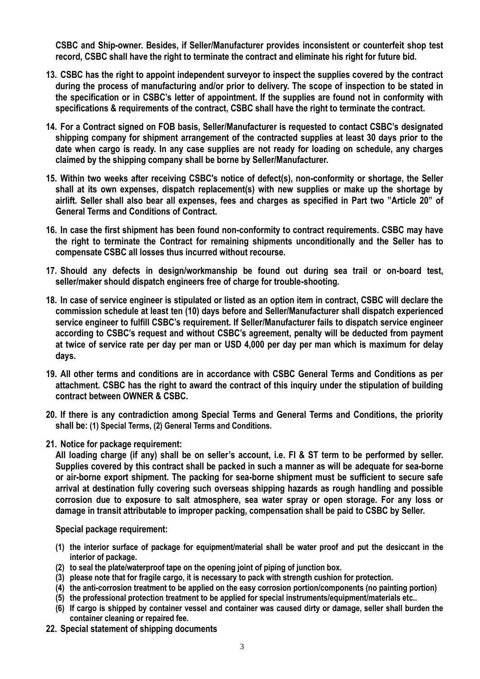**CSBC and Ship-owner. Besides, if Seller/Manufacturer provides inconsistent or counterfeit shop test record, CSBC shall have the right to terminate the contract and eliminate his right for future bid.**

- **13. CSBC has the right to appoint independent surveyor to inspect the supplies covered by the contract during the process of manufacturing and/or prior to delivery. The scope of inspection to be stated in the specification or in CSBC's letter of appointment. If the supplies are found not in conformity with specifications & requirements of the contract, CSBC shall have the right to terminate the contract.**
- **14. For a Contract signed on FOB basis, Seller/Manufacturer is requested to contact CSBC's designated shipping company for shipment arrangement of the contracted supplies at least 30 days prior to the date when cargo is ready. In any case supplies are not ready for loading on schedule, any charges claimed by the shipping company shall be borne by Seller/Manufacturer.**
- **15. Within two weeks after receiving CSBC's notice of defect(s), non-conformity or shortage, the Seller shall at its own expenses, dispatch replacement(s) with new supplies or make up the shortage by airlift. Seller shall also bear all expenses, fees and charges as specified in Part two "Article 20" of General Terms and Conditions of Contract.**
- **16. In case the first shipment has been found non-conformity to contract requirements. CSBC may have the right to terminate the Contract for remaining shipments unconditionally and the Seller has to compensate CSBC all losses thus incurred without recourse.**
- **17. Should any defects in design/workmanship be found out during sea trail or on-board test, seller/maker should dispatch engineers free of charge for trouble-shooting.**
- **18. In case of service engineer is stipulated or listed as an option item in contract, CSBC will declare the commission schedule at least ten (10) days before and Seller/Manufacturer shall dispatch experienced service engineer to fulfill CSBC's requirement. If Seller/Manufacturer fails to dispatch service engineer according to CSBC's request and without CSBC's agreement, penalty will be deducted from payment at twice of service rate per day per man or USD 4,000 per day per man which is maximum for delay days.**
- **19. All other terms and conditions are in accordance with CSBC General Terms and Conditions as per attachment. CSBC has the right to award the contract of this inquiry under the stipulation of building contract between OWNER & CSBC.**
- **20. If there is any contradiction among Special Terms and General Terms and Conditions, the priority shall be: (1) Special Terms, (2) General Terms and Conditions.**
- **21. Notice for package requirement:**

**All loading charge (if any) shall be on seller's account, i.e. FI & ST term to be performed by seller. Supplies covered by this contract shall be packed in such a manner as will be adequate for sea-borne or air-borne export shipment. The packing for sea-borne shipment must be sufficient to secure safe arrival at destination fully covering such overseas shipping hazards as rough handling and possible corrosion due to exposure to salt atmosphere, sea water spray or open storage. For any loss or damage in transit attributable to improper packing, compensation shall be paid to CSBC by Seller.**

**Special package requirement:**

- **(1) the interior surface of package for equipment/material shall be water proof and put the desiccant in the interior of package.**
- **(2) to seal the plate/waterproof tape on the opening joint of piping of junction box.**
- **(3) please note that for fragile cargo, it is necessary to pack with strength cushion for protection.**
- **(4) the anti-corrosion treatment to be applied on the easy corrosion portion/components (no painting portion)**
- **(5) the professional protection treatment to be applied for special instruments/equipment/materials etc..**
- **(6) If cargo is shipped by container vessel and container was caused dirty or damage, seller shall burden the container cleaning or repaired fee.**
- **22. Special statement of shipping documents**